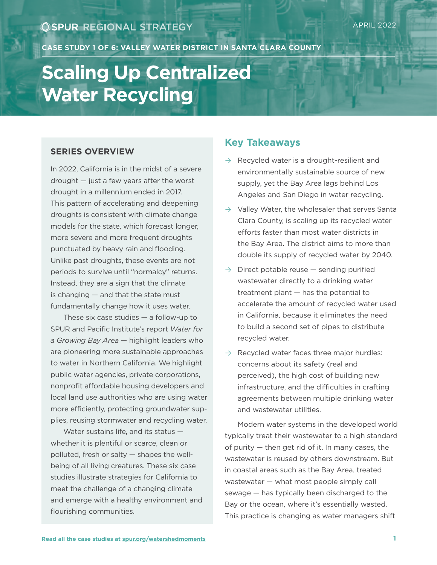**CASE STUDY 1 OF 6: VALLEY WATER DISTRICT IN SANTA CLARA COUNTY**

# **Scaling Up Centralized Water Recycling**

#### **SERIES OVERVIEW**

In 2022, California is in the midst of a severe drought — just a few years after the worst drought in a millennium ended in 2017. This pattern of accelerating and deepening droughts is consistent with climate change models for the state, which forecast longer, more severe and more frequent droughts punctuated by heavy rain and flooding. Unlike past droughts, these events are not periods to survive until "normalcy" returns. Instead, they are a sign that the climate is changing — and that the state must fundamentally change how it uses water.

These six case studies — a follow-up to SPUR and Pacific Institute's report *Water for a Growing Bay Area* — highlight leaders who are pioneering more sustainable approaches to water in Northern California. We highlight public water agencies, private corporations, nonprofit affordable housing developers and local land use authorities who are using water more efficiently, protecting groundwater supplies, reusing stormwater and recycling water.

Water sustains life, and its status whether it is plentiful or scarce, clean or polluted, fresh or salty — shapes the wellbeing of all living creatures. These six case studies illustrate strategies for California to meet the challenge of a changing climate and emerge with a healthy environment and flourishing communities.

#### **Key Takeaways**

- $\rightarrow$  Recycled water is a drought-resilient and environmentally sustainable source of new supply, yet the Bay Area lags behind Los Angeles and San Diego in water recycling.
- $\rightarrow$  Valley Water, the wholesaler that serves Santa Clara County, is scaling up its recycled water efforts faster than most water districts in the Bay Area. The district aims to more than double its supply of recycled water by 2040.
- $\rightarrow$  Direct potable reuse  $-$  sending purified wastewater directly to a drinking water treatment plant — has the potential to accelerate the amount of recycled water used in California, because it eliminates the need to build a second set of pipes to distribute recycled water.
- $\rightarrow$  Recycled water faces three major hurdles: concerns about its safety (real and perceived), the high cost of building new infrastructure, and the difficulties in crafting agreements between multiple drinking water and wastewater utilities.

Modern water systems in the developed world typically treat their wastewater to a high standard of purity — then get rid of it. In many cases, the wastewater is reused by others downstream. But in coastal areas such as the Bay Area, treated wastewater — what most people simply call sewage — has typically been discharged to the Bay or the ocean, where it's essentially wasted. This practice is changing as water managers shift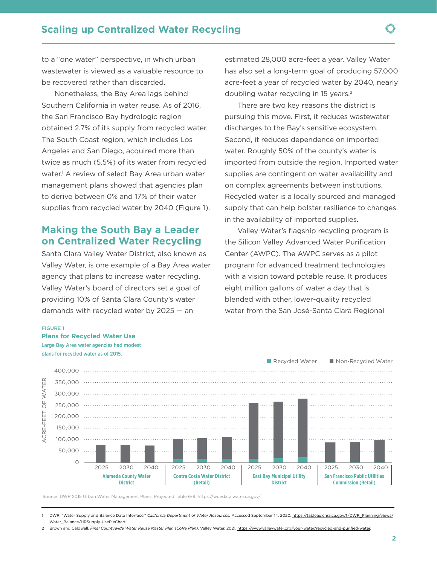to a "one water" perspective, in which urban wastewater is viewed as a valuable resource to be recovered rather than discarded.

Nonetheless, the Bay Area lags behind Southern California in water reuse. As of 2016, the San Francisco Bay hydrologic region obtained 2.7% of its supply from recycled water. The South Coast region, which includes Los Angeles and San Diego, acquired more than twice as much (5.5%) of its water from recycled water.<sup>1</sup> A review of select Bay Area urban water management plans showed that agencies plan to derive between 0% and 17% of their water supplies from recycled water by 2040 (Figure 1).

### **Making the South Bay a Leader on Centralized Water Recycling**

Santa Clara Valley Water District, also known as Valley Water, is one example of a Bay Area water agency that plans to increase water recycling. Valley Water's board of directors set a goal of providing 10% of Santa Clara County's water demands with recycled water by 2025 — an

estimated 28,000 acre-feet a year. Valley Water has also set a long-term goal of producing 57,000 acre-feet a year of recycled water by 2040, nearly doubling water recycling in 15 years.<sup>2</sup>

There are two key reasons the district is pursuing this move. First, it reduces wastewater discharges to the Bay's sensitive ecosystem. Second, it reduces dependence on imported water. Roughly 50% of the county's water is imported from outside the region. Imported water supplies are contingent on water availability and on complex agreements between institutions. Recycled water is a locally sourced and managed supply that can help bolster resilience to changes in the availability of imported supplies.

Valley Water's flagship recycling program is the Silicon Valley Advanced Water Purification Center (AWPC). The AWPC serves as a pilot program for advanced treatment technologies with a vision toward potable reuse. It produces eight million gallons of water a day that is blended with other, lower-quality recycled water from the San José-Santa Clara Regional

#### FIGURE 1

**Plans for Recycled Water Use**  Large Bay Area water agencies had modest plans for recycled water as of 2015.



Source: DWR 2015 Urban Water Management Plans, Projected Table 6-9. https://wuedata.water.ca.gov/

<sup>1</sup> DWR. "Water Supply and Balance Data Interface." *California Department of Water Resources.* Accessed September 14, 2020. [https://tableau.cnra.ca.gov/t/DWR\\_Planning/views/](https://tableau.cnra.ca.gov/t/DWR_Planning/views/Water_Balance/HRSupply-UsePieChart) [Water\\_Balance/HRSupply-UsePieChart](https://tableau.cnra.ca.gov/t/DWR_Planning/views/Water_Balance/HRSupply-UsePieChart).

<sup>2</sup> Brown and Caldwell. *Final Countywide Water Reuse Master Plan (CoRe Plan).* Valley Water, 2021. [https://www.valleywater.org/your-water/recycled-and-purified-water.](https://www.valleywater.org/your-water/recycled-and-purified-water)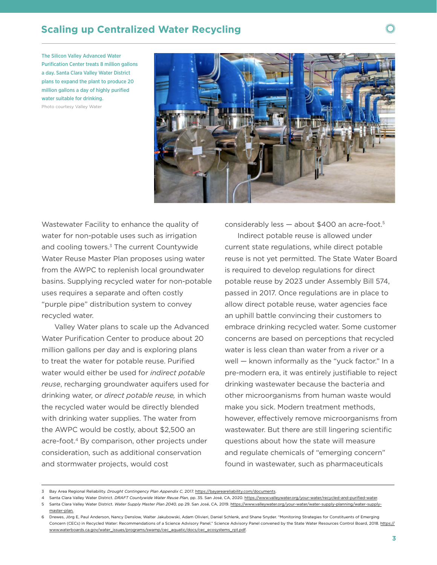# **Scaling up Centralized Water Recycling**

The Silicon Valley Advanced Water Purification Center treats 8 million gallons a day. Santa Clara Valley Water District plans to expand the plant to produce 20 million gallons a day of highly purified water suitable for drinking. Photo courtesy Valley Water



Wastewater Facility to enhance the quality of water for non-potable uses such as irrigation and cooling towers.<sup>3</sup> The current Countywide Water Reuse Master Plan proposes using water from the AWPC to replenish local groundwater basins. Supplying recycled water for non-potable uses requires a separate and often costly "purple pipe" distribution system to convey recycled water.

Valley Water plans to scale up the Advanced Water Purification Center to produce about 20 million gallons per day and is exploring plans to treat the water for potable reuse. Purified water would either be used for *indirect potable reuse*, recharging groundwater aquifers used for drinking water, or *direct potable reuse,* in which the recycled water would be directly blended with drinking water supplies. The water from the AWPC would be costly, about \$2,500 an acre-foot.4 By comparison, other projects under consideration, such as additional conservation and stormwater projects, would cost

considerably less — about \$400 an acre-foot.5

 $M_{\text{H}}$ 

Indirect potable reuse is allowed under current state regulations, while direct potable reuse is not yet permitted. The State Water Board is required to develop regulations for direct potable reuse by 2023 under Assembly Bill 574, passed in 2017. Once regulations are in place to allow direct potable reuse, water agencies face an uphill battle convincing their customers to embrace drinking recycled water. Some customer concerns are based on perceptions that recycled water is less clean than water from a river or a well — known informally as the "yuck factor." In a pre-modern era, it was entirely justifiable to reject drinking wastewater because the bacteria and other microorganisms from human waste would make you sick. Modern treatment methods, however, effectively remove microorganisms from wastewater. But there are still lingering scientific questions about how the state will measure and regulate chemicals of "emerging concern" found in wastewater, such as pharmaceuticals

<sup>3</sup> Bay Area Regional Reliability. *Drought Contingency Plan Appendix C,* 2017. https://bayareareliability.com/documents.

<sup>4</sup> Santa Clara Valley Water District. *DRAFT Countywide Water Reuse Plan,* pp. 35. San José, CA, 2020. [https://www.valleywater.org/your-water/recycled-and-purified-water.](https://www.valleywater.org/your-water/recycled-and-purified-water)

<sup>5</sup> Santa Clara Valley Water District. *Water Supply Master Plan 2040,* pp 29. San José, CA, 2019. [https://www.valleywater.org/your-water/water-supply-planning/water-supply](https://www.valleywater.org/your-water/water-supply-planning/water-supply-master-plan)[master-plan.](https://www.valleywater.org/your-water/water-supply-planning/water-supply-master-plan)

<sup>6</sup> Drewes, Jörg E, Paul Anderson, Nancy Denslow, Walter Jakubowski, Adam Olivieri, Daniel Schlenk, and Shane Snyder. "Monitoring Strategies for Constituents of Emerging Concern (CECs) in Recycled Water: Recommendations of a Science Advisory Panel." Science Advisory Panel convened by the State Water Resources Control Board, 2018. https:// www.waterboards.ca.gov/water\_issues/programs/swamp/cec\_aquatic/docs/cec\_ecosystems\_rpt.pdf.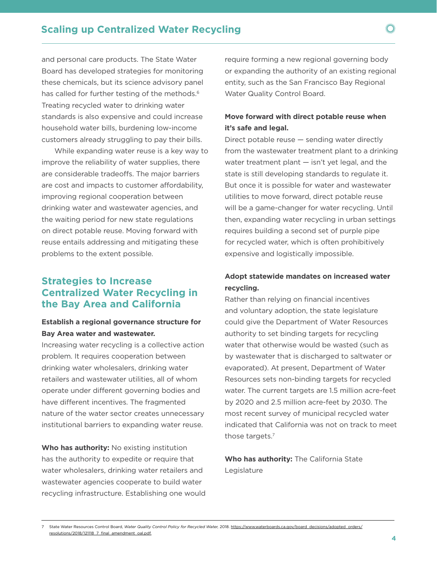and personal care products. The State Water Board has developed strategies for monitoring these chemicals, but its science advisory panel has called for further testing of the methods.<sup>6</sup> Treating recycled water to drinking water standards is also expensive and could increase household water bills, burdening low-income customers already struggling to pay their bills.

While expanding water reuse is a key way to improve the reliability of water supplies, there are considerable tradeoffs. The major barriers are cost and impacts to customer affordability, improving regional cooperation between drinking water and wastewater agencies, and the waiting period for new state regulations on direct potable reuse. Moving forward with reuse entails addressing and mitigating these problems to the extent possible.

# **Strategies to Increase Centralized Water Recycling in the Bay Area and California**

#### **Establish a regional governance structure for Bay Area water and wastewater.**

Increasing water recycling is a collective action problem. It requires cooperation between drinking water wholesalers, drinking water retailers and wastewater utilities, all of whom operate under different governing bodies and have different incentives. The fragmented nature of the water sector creates unnecessary institutional barriers to expanding water reuse.

**Who has authority:** No existing institution has the authority to expedite or require that water wholesalers, drinking water retailers and wastewater agencies cooperate to build water recycling infrastructure. Establishing one would

require forming a new regional governing body or expanding the authority of an existing regional entity, such as the San Francisco Bay Regional Water Quality Control Board.

 $M_{\text{H}}$ 

#### **Move forward with direct potable reuse when it's safe and legal.**

Direct potable reuse — sending water directly from the wastewater treatment plant to a drinking water treatment plant — isn't yet legal, and the state is still developing standards to regulate it. But once it is possible for water and wastewater utilities to move forward, direct potable reuse will be a game-changer for water recycling. Until then, expanding water recycling in urban settings requires building a second set of purple pipe for recycled water, which is often prohibitively expensive and logistically impossible.

#### **Adopt statewide mandates on increased water recycling.**

Rather than relying on financial incentives and voluntary adoption, the state legislature could give the Department of Water Resources authority to set binding targets for recycling water that otherwise would be wasted (such as by wastewater that is discharged to saltwater or evaporated). At present, Department of Water Resources sets non-binding targets for recycled water. The current targets are 1.5 million acre-feet by 2020 and 2.5 million acre-feet by 2030. The most recent survey of municipal recycled water indicated that California was not on track to meet those targets.7

**Who has authority:** The California State Legislature

<sup>7</sup> State Water Resources Control Board, *Water Quality Control Policy for Recycled Water,* 2018. [https://www.waterboards.ca.gov/board\\_decisions/adopted\\_orders/](https://www.waterboards.ca.gov/board_decisions/adopted_orders/resolutions/2018/121118_7_final_amendment_oal.pdf) [resolutions/2018/121118\\_7\\_final\\_amendment\\_oal.pdf](https://www.waterboards.ca.gov/board_decisions/adopted_orders/resolutions/2018/121118_7_final_amendment_oal.pdf).